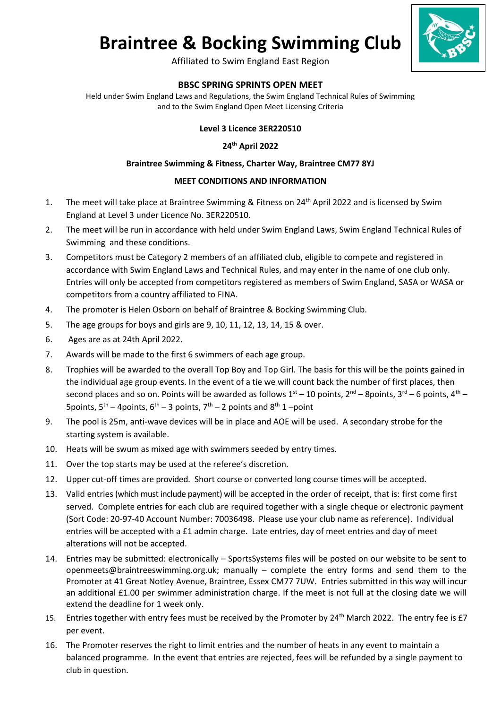# **Braintree & Bocking Swimming Club**



Affiliated to Swim England East Region

## **BBSC SPRING SPRINTS OPEN MEET**

Held under Swim England Laws and Regulations, the Swim England Technical Rules of Swimming and to the Swim England Open Meet Licensing Criteria

### **Level 3 Licence 3ER220510**

#### **24th April 2022**

#### **Braintree Swimming & Fitness, Charter Way, Braintree CM77 8YJ**

#### **MEET CONDITIONS AND INFORMATION**

- 1. The meet will take place at Braintree Swimming & Fitness on 24<sup>th</sup> April 2022 and is licensed by Swim England at Level 3 under Licence No. 3ER220510.
- 2. The meet will be run in accordance with held under Swim England Laws, Swim England Technical Rules of Swimming and these conditions.
- 3. Competitors must be Category 2 members of an affiliated club, eligible to compete and registered in accordance with Swim England Laws and Technical Rules, and may enter in the name of one club only. Entries will only be accepted from competitors registered as members of Swim England, SASA or WASA or competitors from a country affiliated to FINA.
- 4. The promoter is Helen Osborn on behalf of Braintree & Bocking Swimming Club.
- 5. The age groups for boys and girls are 9, 10, 11, 12, 13, 14, 15 & over.
- 6. Ages are as at 24th April 2022.
- 7. Awards will be made to the first 6 swimmers of each age group.
- 8. Trophies will be awarded to the overall Top Boy and Top Girl. The basis for this will be the points gained in the individual age group events. In the event of a tie we will count back the number of first places, then second places and so on. Points will be awarded as follows  $1^{st} - 10$  points,  $2^{nd} - 8$ points,  $3^{rd} - 6$  points,  $4^{th} -$ 5 points,  $5^{th}$  – 4 points,  $6^{th}$  – 3 points,  $7^{th}$  – 2 points and  $8^{th}$  1 – point
- 9. The pool is 25m, anti-wave devices will be in place and AOE will be used. A secondary strobe for the starting system is available.
- 10. Heats will be swum as mixed age with swimmers seeded by entry times.
- 11. Over the top starts may be used at the referee's discretion.
- 12. Upper cut-off times are provided. Short course or converted long course times will be accepted.
- 13. Valid entries(which must include payment) will be accepted in the order of receipt, that is: first come first served. Complete entries for each club are required together with a single cheque or electronic payment (Sort Code: 20-97-40 Account Number: 70036498. Please use your club name as reference). Individual entries will be accepted with a £1 admin charge. Late entries, day of meet entries and day of meet alterations will not be accepted.
- 14. Entries may be submitted: electronically SportsSystems files will be posted on our website to be sent to openmeets@braintreeswimming.org.uk; manually – complete the entry forms and send them to the Promoter at 41 Great Notley Avenue, Braintree, Essex CM77 7UW. Entries submitted in this way will incur an additional £1.00 per swimmer administration charge. If the meet is not full at the closing date we will extend the deadline for 1 week only.
- 15. Entries together with entry fees must be received by the Promoter by 24<sup>th</sup> March 2022. The entry fee is £7 per event.
- 16. The Promoter reserves the right to limit entries and the number of heats in any event to maintain a balanced programme. In the event that entries are rejected, fees will be refunded by a single payment to club in question.